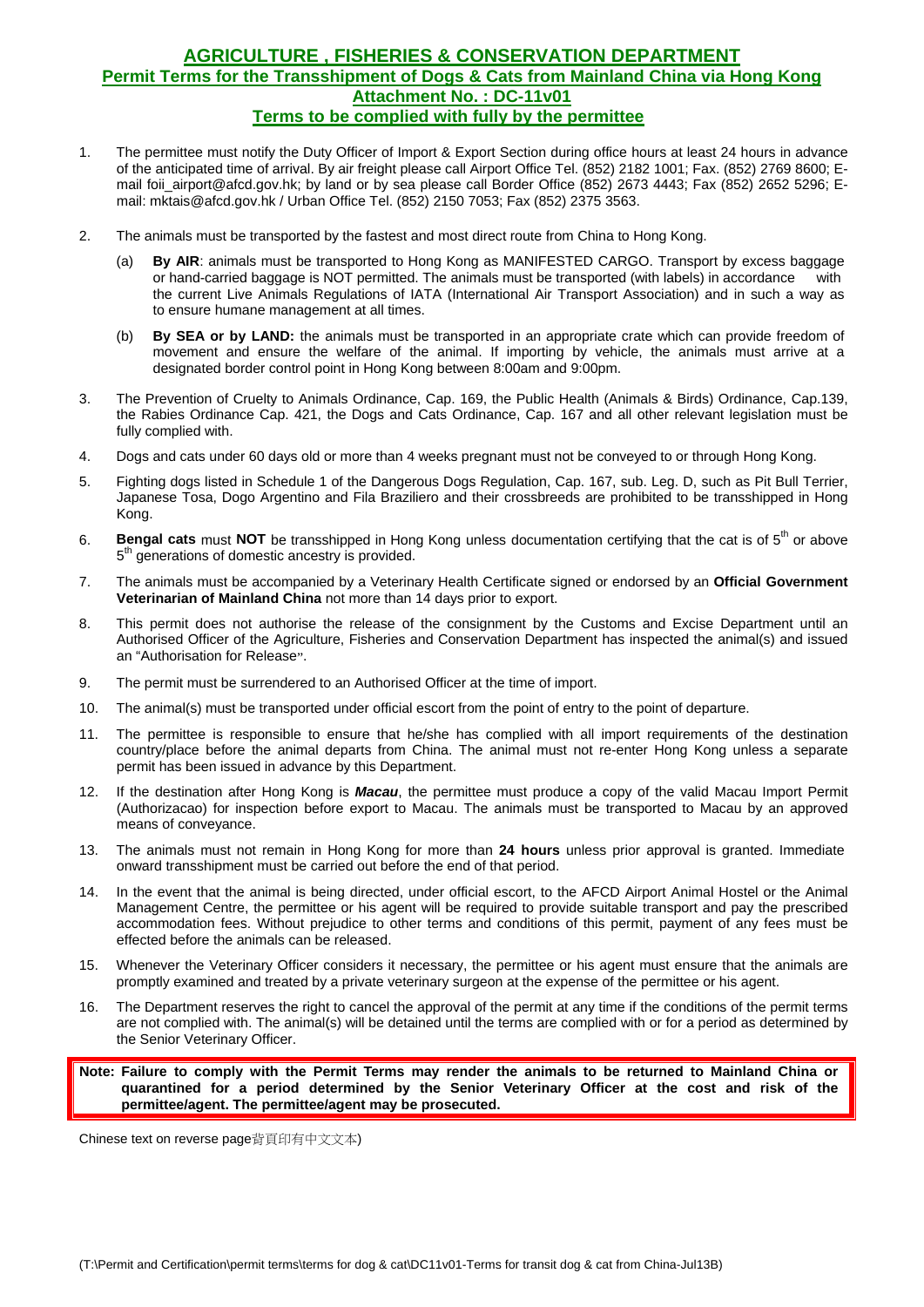## **AGRICULTURE , FISHERIES & CONSERVATION DEPARTMENT Permit Terms for the Transshipment of Dogs & Cats from Mainland China via Hong Kong Attachment No. : DC-11v01 Terms to be complied with fully by the permittee**

- 1. The permittee must notify the Duty Officer of Import & Export Section during office hours at least 24 hours in advance of the anticipated time of arrival. By air freight please call Airport Office Tel. (852) 2182 1001; Fax. (852) 2769 8600; Email foii\_airport@afcd.gov.hk; by land or by sea please call Border Office (852) 2673 4443; Fax (852) 2652 5296; Email: mktais@afcd.gov.hk / Urban Office Tel. (852) 2150 7053; Fax (852) 2375 3563.
- 2. The animals must be transported by the fastest and most direct route from China to Hong Kong.
	- (a) **By AIR**: animals must be transported to Hong Kong as MANIFESTED CARGO. Transport by excess baggage or hand-carried baggage is NOT permitted. The animals must be transported (with labels) in accordance with the current Live Animals Regulations of IATA (International Air Transport Association) and in such a way as to ensure humane management at all times.
	- (b) **By SEA or by LAND:** the animals must be transported in an appropriate crate which can provide freedom of movement and ensure the welfare of the animal. If importing by vehicle, the animals must arrive at a designated border control point in Hong Kong between 8:00am and 9:00pm.
- 3. The Prevention of Cruelty to Animals Ordinance, Cap. 169, the Public Health (Animals & Birds) Ordinance, Cap.139, the Rabies Ordinance Cap. 421, the Dogs and Cats Ordinance, Cap. 167 and all other relevant legislation must be fully complied with.
- 4. Dogs and cats under 60 days old or more than 4 weeks pregnant must not be conveyed to or through Hong Kong.
- 5. Fighting dogs listed in Schedule 1 of the Dangerous Dogs Regulation, Cap. 167, sub. Leg. D, such as Pit Bull Terrier, Japanese Tosa, Dogo Argentino and Fila Braziliero and their crossbreeds are prohibited to be transshipped in Hong Kong.
- 6. **Bengal cats** must NOT be transshipped in Hong Kong unless documentation certifying that the cat is of 5<sup>th</sup> or above 5<sup>th</sup> generations of domestic ancestry is provided.
- 7. The animals must be accompanied by a Veterinary Health Certificate signed or endorsed by an **Official Government Veterinarian of Mainland China** not more than 14 days prior to export.
- 8. This permit does not authorise the release of the consignment by the Customs and Excise Department until an Authorised Officer of the Agriculture, Fisheries and Conservation Department has inspected the animal(s) and issued an "Authorisation for Release".
- 9. The permit must be surrendered to an Authorised Officer at the time of import.
- 10. The animal(s) must be transported under official escort from the point of entry to the point of departure.
- 11. The permittee is responsible to ensure that he/she has complied with all import requirements of the destination country/place before the animal departs from China. The animal must not re-enter Hong Kong unless a separate permit has been issued in advance by this Department.
- 12. If the destination after Hong Kong is *Macau*, the permittee must produce a copy of the valid Macau Import Permit (Authorizacao) for inspection before export to Macau. The animals must be transported to Macau by an approved means of conveyance.
- 13. The animals must not remain in Hong Kong for more than **24 hours** unless prior approval is granted. Immediate onward transshipment must be carried out before the end of that period.
- 14. In the event that the animal is being directed, under official escort, to the AFCD Airport Animal Hostel or the Animal Management Centre, the permittee or his agent will be required to provide suitable transport and pay the prescribed accommodation fees. Without prejudice to other terms and conditions of this permit, payment of any fees must be effected before the animals can be released.
- 15. Whenever the Veterinary Officer considers it necessary, the permittee or his agent must ensure that the animals are promptly examined and treated by a private veterinary surgeon at the expense of the permittee or his agent.
- 16. The Department reserves the right to cancel the approval of the permit at any time if the conditions of the permit terms are not complied with. The animal(s) will be detained until the terms are complied with or for a period as determined by the Senior Veterinary Officer.

**Note: Failure to comply with the Permit Terms may render the animals to be returned to Mainland China or quarantined for a period determined by the Senior Veterinary Officer at the cost and risk of the permittee/agent. The permittee/agent may be prosecuted.** 

Chinese text on reverse page背頁印有中文文本)